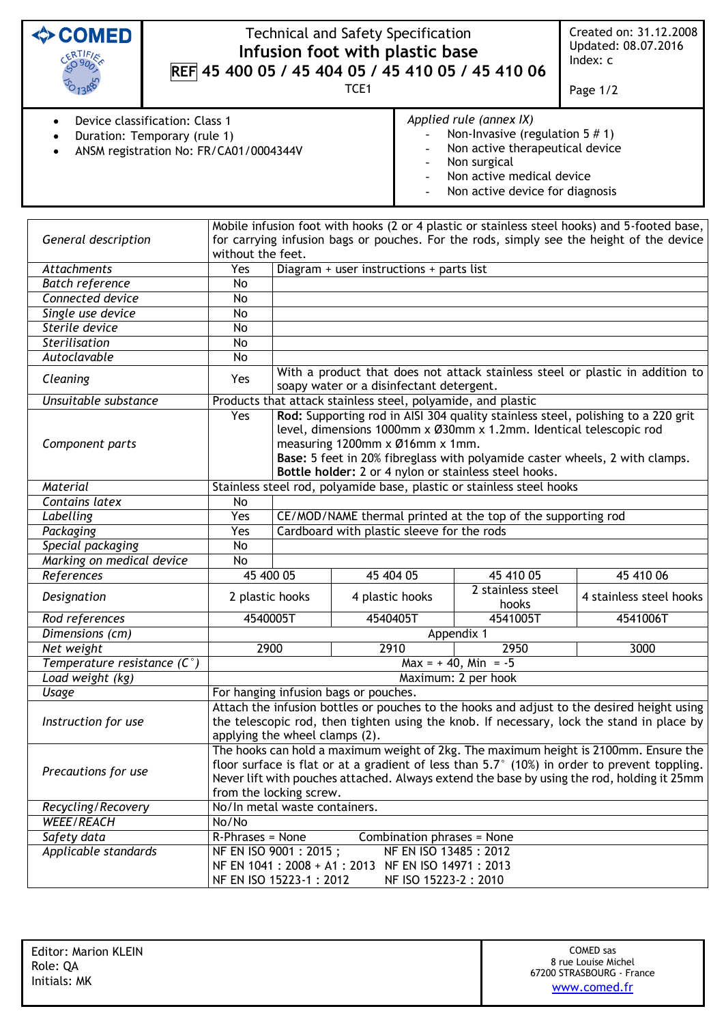| <b>♦ COMED</b><br>ERTIFIES                                                                               | <b>Technical and Safety Specification</b><br>Infusion foot with plastic base<br>REF 45 400 05 / 45 404 05 / 45 410 05 / 45 410 06<br>TCE <sub>1</sub>                                                                                                                                                                                    |                                                                                                                                                              |                                          |                                                                                                                                                                                          |                            | Created on: 31.12.2008<br>Updated: 08.07.2016<br>Index: c<br>Page 1/2 |  |
|----------------------------------------------------------------------------------------------------------|------------------------------------------------------------------------------------------------------------------------------------------------------------------------------------------------------------------------------------------------------------------------------------------------------------------------------------------|--------------------------------------------------------------------------------------------------------------------------------------------------------------|------------------------------------------|------------------------------------------------------------------------------------------------------------------------------------------------------------------------------------------|----------------------------|-----------------------------------------------------------------------|--|
| Device classification: Class 1<br>Duration: Temporary (rule 1)<br>ANSM registration No: FR/CA01/0004344V |                                                                                                                                                                                                                                                                                                                                          |                                                                                                                                                              |                                          | Applied rule (annex IX)<br>Non-Invasive (regulation $5 \# 1$ )<br>Non active therapeutical device<br>Non surgical<br>Non active medical device<br>Non active device for diagnosis        |                            |                                                                       |  |
| General description                                                                                      | without the feet.                                                                                                                                                                                                                                                                                                                        |                                                                                                                                                              |                                          | Mobile infusion foot with hooks (2 or 4 plastic or stainless steel hooks) and 5-footed base,<br>for carrying infusion bags or pouches. For the rods, simply see the height of the device |                            |                                                                       |  |
| <b>Attachments</b>                                                                                       | Yes                                                                                                                                                                                                                                                                                                                                      |                                                                                                                                                              | Diagram + user instructions + parts list |                                                                                                                                                                                          |                            |                                                                       |  |
| <b>Batch reference</b>                                                                                   | No                                                                                                                                                                                                                                                                                                                                       |                                                                                                                                                              |                                          |                                                                                                                                                                                          |                            |                                                                       |  |
| Connected device                                                                                         | No                                                                                                                                                                                                                                                                                                                                       |                                                                                                                                                              |                                          |                                                                                                                                                                                          |                            |                                                                       |  |
| Single use device                                                                                        | No                                                                                                                                                                                                                                                                                                                                       |                                                                                                                                                              |                                          |                                                                                                                                                                                          |                            |                                                                       |  |
| Sterile device                                                                                           | No                                                                                                                                                                                                                                                                                                                                       |                                                                                                                                                              |                                          |                                                                                                                                                                                          |                            |                                                                       |  |
| Sterilisation                                                                                            | No                                                                                                                                                                                                                                                                                                                                       |                                                                                                                                                              |                                          |                                                                                                                                                                                          |                            |                                                                       |  |
| Autoclavable                                                                                             | No                                                                                                                                                                                                                                                                                                                                       |                                                                                                                                                              |                                          |                                                                                                                                                                                          |                            |                                                                       |  |
| Cleaning                                                                                                 | With a product that does not attack stainless steel or plastic in addition to<br>Yes<br>soapy water or a disinfectant detergent.                                                                                                                                                                                                         |                                                                                                                                                              |                                          |                                                                                                                                                                                          |                            |                                                                       |  |
| Unsuitable substance                                                                                     | Products that attack stainless steel, polyamide, and plastic                                                                                                                                                                                                                                                                             |                                                                                                                                                              |                                          |                                                                                                                                                                                          |                            |                                                                       |  |
| Component parts                                                                                          | Rod: Supporting rod in AISI 304 quality stainless steel, polishing to a 220 grit<br>Yes<br>level, dimensions 1000mm x Ø30mm x 1.2mm. Identical telescopic rod<br>measuring 1200mm x Ø16mm x 1mm.<br>Base: 5 feet in 20% fibreglass with polyamide caster wheels, 2 with clamps.<br>Bottle holder: 2 or 4 nylon or stainless steel hooks. |                                                                                                                                                              |                                          |                                                                                                                                                                                          |                            |                                                                       |  |
| <b>Material</b>                                                                                          | Stainless steel rod, polyamide base, plastic or stainless steel hooks                                                                                                                                                                                                                                                                    |                                                                                                                                                              |                                          |                                                                                                                                                                                          |                            |                                                                       |  |
| Contains latex                                                                                           | No                                                                                                                                                                                                                                                                                                                                       |                                                                                                                                                              |                                          |                                                                                                                                                                                          |                            |                                                                       |  |
| Labelling                                                                                                | Yes                                                                                                                                                                                                                                                                                                                                      | CE/MOD/NAME thermal printed at the top of the supporting rod                                                                                                 |                                          |                                                                                                                                                                                          |                            |                                                                       |  |
| Packaging                                                                                                | Yes                                                                                                                                                                                                                                                                                                                                      | Cardboard with plastic sleeve for the rods                                                                                                                   |                                          |                                                                                                                                                                                          |                            |                                                                       |  |
| Special packaging                                                                                        | No                                                                                                                                                                                                                                                                                                                                       |                                                                                                                                                              |                                          |                                                                                                                                                                                          |                            |                                                                       |  |
| Marking on medical device                                                                                | No                                                                                                                                                                                                                                                                                                                                       |                                                                                                                                                              |                                          |                                                                                                                                                                                          |                            |                                                                       |  |
| References                                                                                               |                                                                                                                                                                                                                                                                                                                                          | 45 400 05                                                                                                                                                    | 45 404 05                                |                                                                                                                                                                                          | 45 410 05                  | 45 410 06                                                             |  |
| Designation                                                                                              |                                                                                                                                                                                                                                                                                                                                          | 2 plastic hooks                                                                                                                                              |                                          | 4 plastic hooks                                                                                                                                                                          | 2 stainless steel<br>hooks | 4 stainless steel hooks                                               |  |
| Rod references                                                                                           | 4540005T                                                                                                                                                                                                                                                                                                                                 |                                                                                                                                                              | 4540405T                                 |                                                                                                                                                                                          | 4541005T                   | 4541006T                                                              |  |
| Dimensions (cm)                                                                                          |                                                                                                                                                                                                                                                                                                                                          |                                                                                                                                                              |                                          |                                                                                                                                                                                          | Appendix 1                 |                                                                       |  |
| Net weight                                                                                               | 2900<br>2910<br>2950<br>3000                                                                                                                                                                                                                                                                                                             |                                                                                                                                                              |                                          |                                                                                                                                                                                          |                            |                                                                       |  |
| Temperature resistance $(C^{\circ})$                                                                     |                                                                                                                                                                                                                                                                                                                                          | $Max = +40$ , Min = -5                                                                                                                                       |                                          |                                                                                                                                                                                          |                            |                                                                       |  |
| Load weight (kg)                                                                                         | Maximum: 2 per hook                                                                                                                                                                                                                                                                                                                      |                                                                                                                                                              |                                          |                                                                                                                                                                                          |                            |                                                                       |  |
| Usage                                                                                                    | For hanging infusion bags or pouches.                                                                                                                                                                                                                                                                                                    |                                                                                                                                                              |                                          |                                                                                                                                                                                          |                            |                                                                       |  |
| Instruction for use                                                                                      | Attach the infusion bottles or pouches to the hooks and adjust to the desired height using<br>the telescopic rod, then tighten using the knob. If necessary, lock the stand in place by<br>applying the wheel clamps (2).                                                                                                                |                                                                                                                                                              |                                          |                                                                                                                                                                                          |                            |                                                                       |  |
| Precautions for use                                                                                      | The hooks can hold a maximum weight of 2kg. The maximum height is 2100mm. Ensure the<br>floor surface is flat or at a gradient of less than 5.7° (10%) in order to prevent toppling.<br>Never lift with pouches attached. Always extend the base by using the rod, holding it 25mm<br>from the locking screw.                            |                                                                                                                                                              |                                          |                                                                                                                                                                                          |                            |                                                                       |  |
| Recycling/Recovery                                                                                       | No/In metal waste containers.                                                                                                                                                                                                                                                                                                            |                                                                                                                                                              |                                          |                                                                                                                                                                                          |                            |                                                                       |  |
| <b>WEEE/REACH</b>                                                                                        | No/No                                                                                                                                                                                                                                                                                                                                    |                                                                                                                                                              |                                          |                                                                                                                                                                                          |                            |                                                                       |  |
| Safety data                                                                                              |                                                                                                                                                                                                                                                                                                                                          | R-Phrases = None<br>Combination phrases = None                                                                                                               |                                          |                                                                                                                                                                                          |                            |                                                                       |  |
| Applicable standards                                                                                     |                                                                                                                                                                                                                                                                                                                                          | NF EN ISO 9001 : 2015 ;<br>NF EN ISO 13485 : 2012<br>NF EN 1041 : 2008 + A1 : 2013 NF EN ISO 14971 : 2013<br>NF EN ISO 15223-1: 2012<br>NF ISO 15223-2: 2010 |                                          |                                                                                                                                                                                          |                            |                                                                       |  |